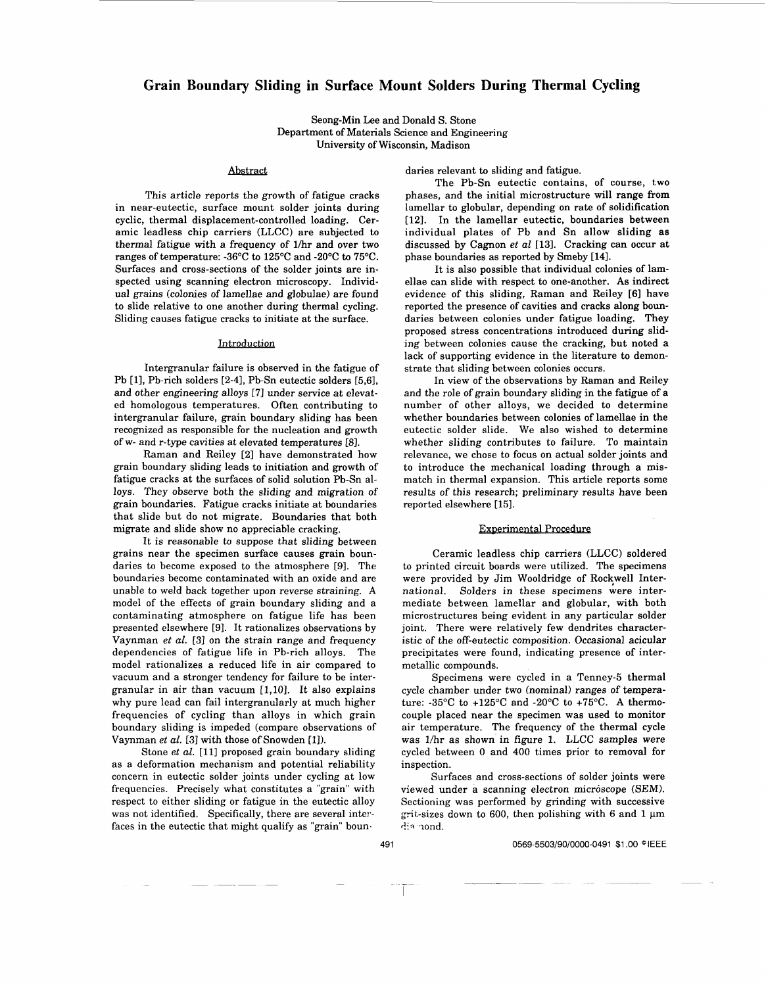# **Grain Boundary Sliding in Surface Mount Solders During Thermal Cycling**

Seong-Min Lee and Donald *S.* Stone Department of Materials Science and Engineering University of Wisconsin, Madison

#### *Abstract*

This article reports the growth of fatigue cracks in near-eutectic, surface mount solder joints during cyclic, thermal displacement-controlled loading. Ceramic leadless chip carriers (LLCC) are subjected to thermal fatigue with a frequency of lhr and over two ranges of temperature: -36°C to 125°C and -20°C to 75°C. Surfaces and cross-sections of the solder joints are inspected using scanning electron microscopy. Individual grains (colonies of lamellae and globulae) are found to slide relative to one another during thermal cycling. Sliding causes fatigue cracks to initiate at the surface.

### Introduction

Intergranular failure is observed in the fatigue of Pb [1], Pb-rich solders [2-4], Pb-Sn eutectic solders [5,6], and other engineering alloys **[7]** under service at elevated homologous temperatures. Often contributing to intergranular failure, grain boundary sliding has been recognized as responsible for the nucleation and growth of w- and r-type cavities at elevated temperatures [8].

Raman and Reiley [2] have demonstrated how grain boundary sliding leads to initiation and growth of fatigue cracks at the surfaces of solid solution Pb-Sn alloys. They observe both the sliding and migration of grain boundaries. Fatigue cracks initiate at boundaries that slide but do not migrate. Boundaries that both migrate and slide show no appreciable cracking.

It is reasonable to suppose that sliding between grains near the specimen surface causes grain boundaries to become exposed to the atmosphere [9]. The boundaries become contaminated with an oxide and are unable to weld back together upon reverse straining. **A**  model of the effects of grain boundary sliding and a contaminating atmosphere on fatigue life has been presented elsewhere [9]. It rationalizes observations by Vaynman *et al.* **[3]** on the strain range and frequency dependencies of fatigue life in Pb-rich alloys. The model rationalizes a reduced life in air compared to vacuum and a stronger tendency for failure to be intergranular in air than vacuum [1,10]. It also explains why pure lead can fail intergranularly at much higher frequencies of cycling than alloys in which grain boundary sliding is impeded (compare observations of Vaynman *et al.* [3] with those of Snowden [l]).

Stone *et al.* [11] proposed grain boundary sliding as a deformation mechanism and potential reliability concern in eutectic solder joints under cycling at low frequencies. Precisely what constitutes a "grain" with respect to either sliding or fatigue in the eutectic alloy was not identified. Specifically, there are several interfaces in the eutectic that might qualify as "grain" boun.

daries relevant to sliding and fatigue.

The Pb-Sn eutectic contains, of course, two phases, and the initial microstructure will range from lamellar to globular, depending on rate of solidification [12]. In the lamellar eutectic, boundaries between individual plates of Pb and Sn allow sliding **as**  discussed by Cagnon *et al* [13]. Cracking can occur at phase boundaries as reported by Smeby [14].

It is also possible that individual colonies of lamellae can slide with respect to one-another. **As** indirect evidence of this sliding, Raman and Reiley [SI have reported the presence of cavities and cracks along boundaries between colonies under fatigue loading. They proposed stress concentrations introduced during sliding between colonies cause the cracking, but noted a lack of supporting evidence in the literature to demonstrate that sliding between colonies occurs.

In view of the observations by Raman and Reiley and the role of grain boundary sliding in the fatigue of a number of other alloys, we decided to determine whether boundaries between colonies of lamellae in the eutectic solder slide. We also wished to determine whether sliding contributes to failure. To maintain relevance, we chose to focus on actual solder joints and to introduce the mechanical loading through a mismatch in thermal expansion. This article reports some results of this research; preliminary results have been reported elsewhere [15].

#### Experimental Procedure

Ceramic leadless chip carriers (LLCC) soldered to printed circuit boards were utilized. The specimens were provided by Jim Wooldridge of Rockwell International. Solders in these specimens were intermediate between lamellar and globular, with both microstructures being evident in any particular solder joint. There were relatively few dendrites characteristic of the off-eutectic composition. Occasional acicular precipitates were found, indicating presence of intermetallic compounds.

Specimens were cycled in a Tenney-5 thermal cycle chamber under two (nominal) ranges of temperature: -35°C to +125"C and -20°C to +75"C. **A** thermocouple placed near the specimen was used to monitor air temperature. The frequency of the thermal cycle was l/hr as shown in figure 1. LLCC samples were cycled between 0 and 400 times prior to removal for inspection.

Surfaces and cross-sections of solder joints were viewed under a scanning electron microscope (SEM). Sectioning was performed by grinding with successive grit-sizes down to 600, then polishing with 6 and 1  $\mu$ m dia nond.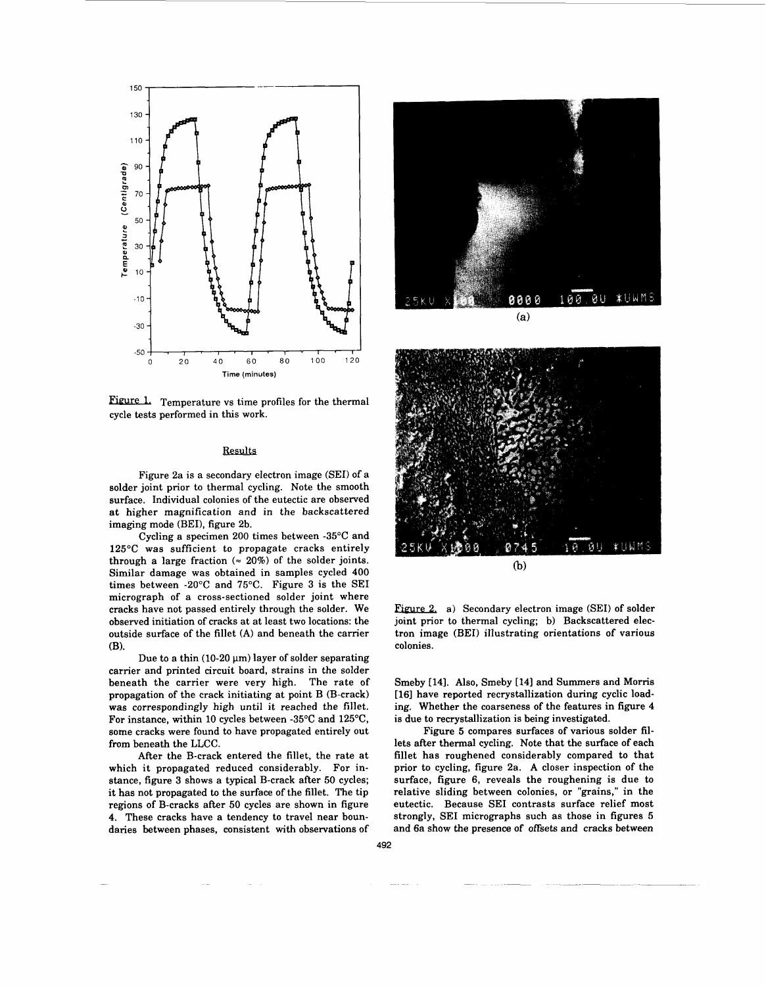

Figure 1. Temperature vs time profiles for the thermal cycle tests performed in this work.

#### Results

Figure 2a is a secondary electron image (SEI) of a solder joint prior to thermal cycling. Note the smooth surface. Individual colonies of the eutectic are observed at higher magnification and in the backscattered imaging mode (BEI), figure 2b.

Cycling a specimen 200 times between -35°C and 125°C was sufficient to propagate cracks entirely through a large fraction  $(= 20\%)$  of the solder joints. Similar damage was obtained in samples cycled 400 times between -20°C and 75°C. Figure 3 is the SEI micrograph of a cross-sectioned solder joint where cracks have not passed entirely through the solder. We observed initiation of cracks at at least two locations: the outside surface of the fillet **(A)** and beneath the carrier (B).

Due to a thin (10-20  $\mu$ m) layer of solder separating carrier and printed circuit board, strains in the solder beneath the carrier were very high. The rate of propagation of the crack initiating at point B (B-crack) was correspondingly high until it reached the fillet. For instance, within 10 cycles between -35°C and 125"C, some cracks were found to have propagated entirely out from beneath the LLCC.

After the B-crack entered the fillet, the rate at which it propagated reduced considerably. For instance, figure 3 shows a typical B-crack after 50 cycles; it has not propagated **to** the surface of the fillet. The tip regions of B-cracks after 50 cycles are shown in figure **4.** These cracks have a tendency to travel near boundaries between phases, consistent with observations of



 $(a)$ 



Figure 2. a) Secondary electron image (SEI) of solder joint prior to thermal cycling; b) Backscattered electron image (BEI) illustrating orientations of various colonies.

Smeby [14]. Also, Smeby [14] and Summers and Morris [16] have reported recrystallization during cyclic loading. Whether the coarseness of the features in figure **4**  is due to recrystallization is being investigated.

Figure *5* compares surfaces of various solder fillets after thermal cycling. Note that the surface of each fillet has roughened considerably compared to that prior to cycling, figure 2a. A closer inspection of the surface, figure 6, reveals the roughening is due to relative sliding between colonies, or "grains," in the eutectic. Because SEI contrasts surface relief most strongly, SEI micrographs such as those in figures **5**  and 6a show the presence of offsets and cracks between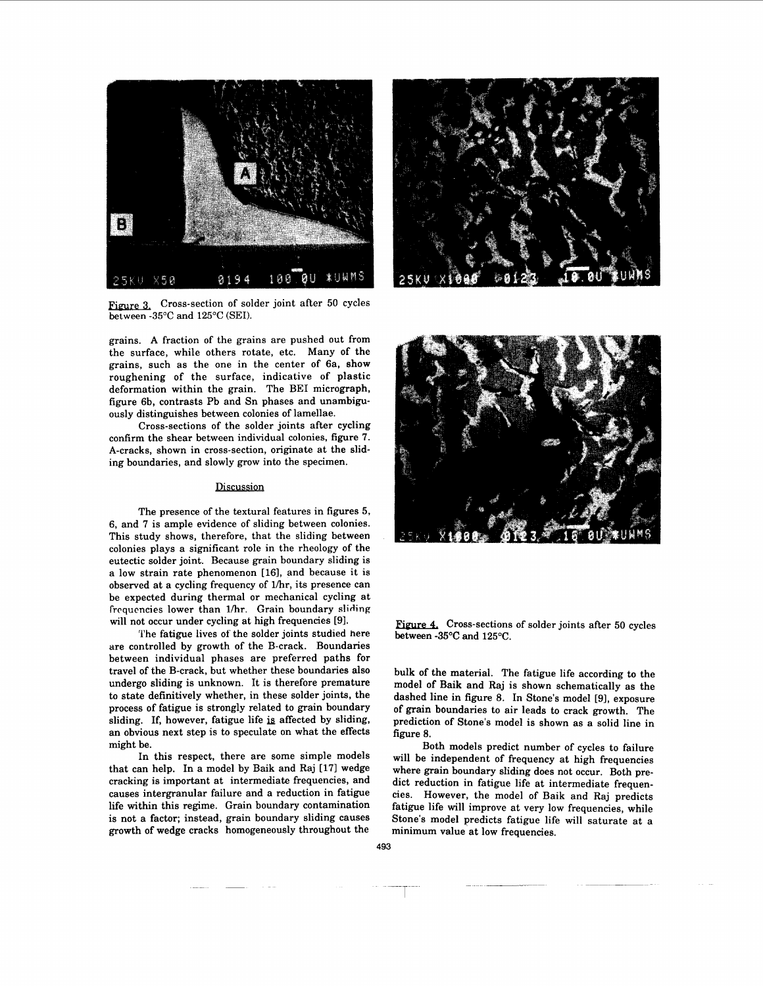

Figure 3. Cross-section of solder joint after 50 cycles between -35 $^{\circ}$ C and 125 $^{\circ}$ C (SEI).

grains. A fraction of the grains are pushed out from the surface, while others rotate, etc. Many of the grains, such as the one in the center of 6a, show roughening of the surface, indicative of plastic deformation within the grain. The BE1 micrograph, figure 6b, contrasts Pb and Sn phases and unambiguously distinguishes between colonies of lamellae.

Cross-sections of the solder joints after cycling confirm the shear between individual colonies, [figure 7.](#page-4-0) A-cracks, shown in cross-section, originate at the sliding boundaries, and slowly grow into the specimen.

### **Discussion**

The presence of the textural features in figures 5, 6, and 7 is ample evidence of sliding between colonies. This study shows, therefore, that the sliding between colonies plays a significant role in the rheology of the eutectic solder joint. Because grain boundary sliding is a low strain rate phenomenon [16], and because it is observed at a cycling frequency of lhr, its presence can be expected during thermal or mechanical cycling at frequencies lower than 1/hr. Grain boundary sliding will not occur under cycling at high frequencies [91.

The fatigue lives of the solder joints studied here are controlled by growth of the B-crack. Boundaries between individual phases are preferred paths for travel of the B-crack, but whether these boundaries also undergo sliding is unknown. It is therefore premature to state definitively whether, in these solder joints, the process of fatigue is strongly related to grain boundary sliding. If, however, fatigue life is affected by sliding, an obvious next step is to speculate on what the effects might be.

In this respect, there are some simple models that can help. In a model by Baik and Raj **[17]** wedge cracking is important at intermediate frequencies, and causes intergranular failure and a reduction in fatigue life within this regime. Grain boundary contamination is not a factor; instead, grain boundary sliding causes growth of wedge cracks homogeneously throughout the





Figure 4. Cross-sections of solder joints after 50 cycles between -35°C and 125°C.

bulk of the material. The fatigue life according to the model of Baik and Raj is shown schematically as the dashed line in figure 8. In Stone's model [91, exposure of grain boundaries to air leads to crack growth. The prediction of Stone's model is shown as a solid line in figure *8.* 

Both models predict number of cycles to failure will be independent of frequency at high frequencies where grain boundary sliding does not occur. Both predict reduction in fatigue life at intermediate frequencies. However, the model of Baik and Raj predicts fatigue life will improve at very low frequencies, while Stone's model predicts fatigue life will saturate at a minimum value at low frequencies.

\_-. *1-* \_\_\_\_--~~ -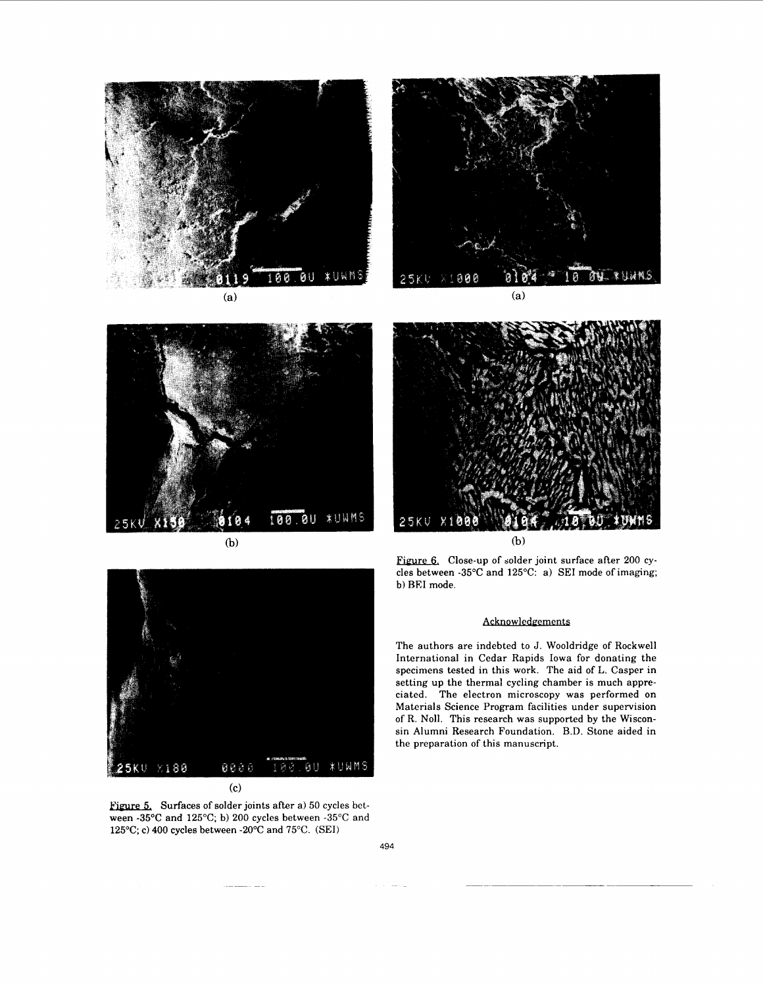

ū  $(7<sub>k</sub>)$ 2

 $(a)$ 



 $(b)$ 



(b)



**(C)** 

Figure 5. Surfaces of solder joints after a) 50 cycles between -35°C and 125°C; b) 200 cycles between -35°C and 125°C; c) 400 cycles between -20°C and 75°C. (SEI)

Figure 6. Close-up of solder joint surface after 200 cycles between **-35°C** and 125°C: a) SEI mode of imaging; b) REI mode.

## Acknowledgements

The authors are indebted to J. Wooldridge of Rockwell International in Cedar Rapids Iowa for donating the specimens tested in this work. The aid of L. Casper in setting up the thermal cycling chamber is much appreciated. The electron microscopy was performed on Materials Science Program facilities under supervision of R. Noll. This research was supported by the Wisconsin Alumni Research Foundation. B.D. Stone aided in the preparation of this manuscript.

494